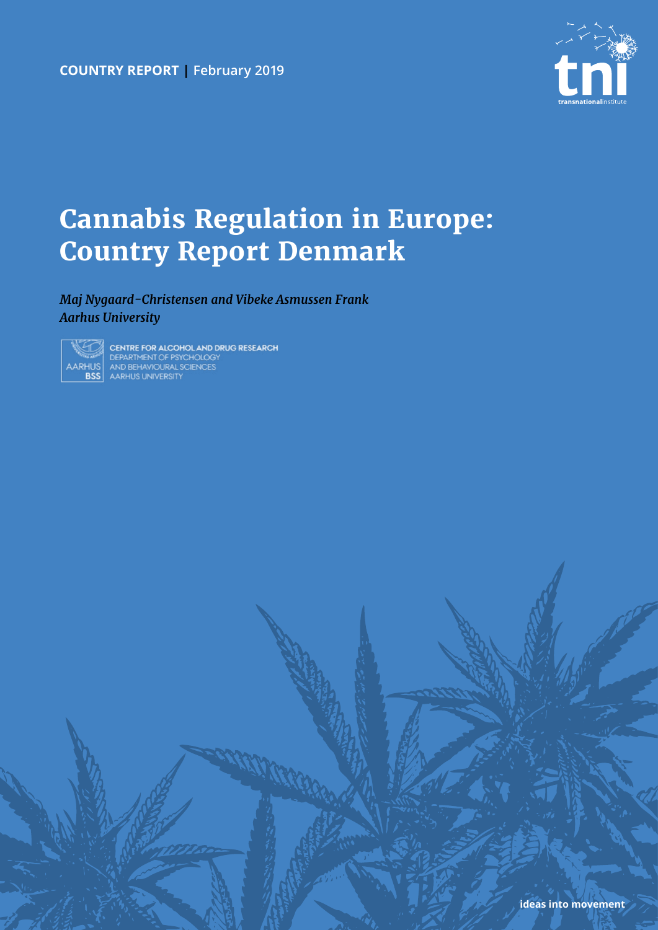**country report | February 2019**



# **Cannabis Regulation in Europe: Country Report Denmark**

## *Maj Nygaard-Christensen and Vibeke Asmussen Frank Aarhus University*



CENTRE FOR ALCOHOL AND DRUG RESEARCH CENTRE FOR ALCOHOL AND D<br>DEPARTMENT OF PSYCHOLOGY<br>AND BEHAVIOURAL SCIENCES<br>ARHUS UNIVERSITY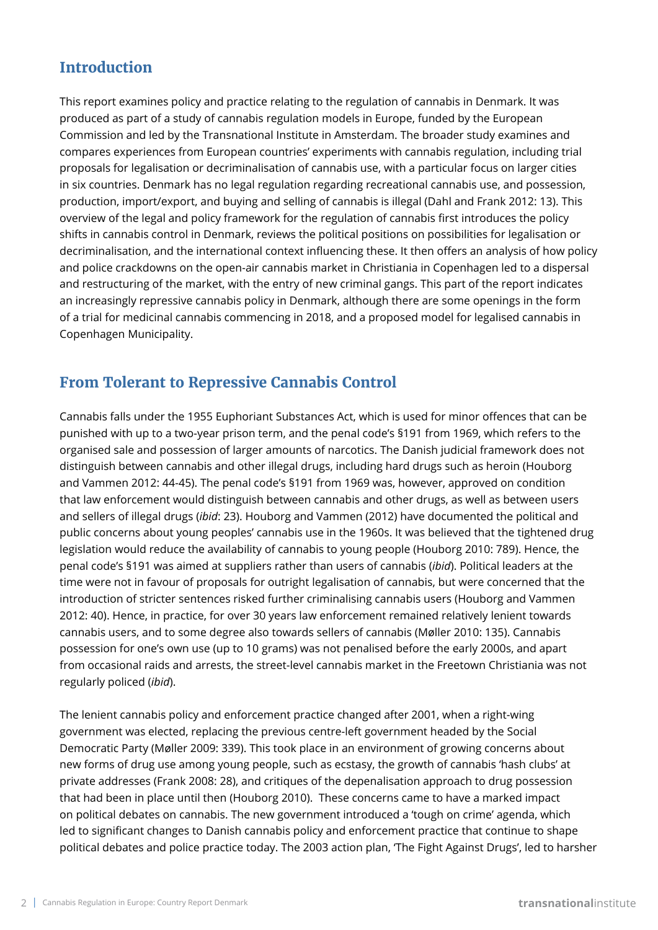## **Introduction**

This report examines policy and practice relating to the regulation of cannabis in Denmark. It was produced as part of a study of cannabis regulation models in Europe, funded by the European Commission and led by the Transnational Institute in Amsterdam. The broader study examines and compares experiences from European countries' experiments with cannabis regulation, including trial proposals for legalisation or decriminalisation of cannabis use, with a particular focus on larger cities in six countries. Denmark has no legal regulation regarding recreational cannabis use, and possession, production, import/export, and buying and selling of cannabis is illegal (Dahl and Frank 2012: 13). This overview of the legal and policy framework for the regulation of cannabis first introduces the policy shifts in cannabis control in Denmark, reviews the political positions on possibilities for legalisation or decriminalisation, and the international context influencing these. It then offers an analysis of how policy and police crackdowns on the open-air cannabis market in Christiania in Copenhagen led to a dispersal and restructuring of the market, with the entry of new criminal gangs. This part of the report indicates an increasingly repressive cannabis policy in Denmark, although there are some openings in the form of a trial for medicinal cannabis commencing in 2018, and a proposed model for legalised cannabis in Copenhagen Municipality.

## **From Tolerant to Repressive Cannabis Control**

Cannabis falls under the 1955 Euphoriant Substances Act, which is used for minor offences that can be punished with up to a two-year prison term, and the penal code's §191 from 1969, which refers to the organised sale and possession of larger amounts of narcotics. The Danish judicial framework does not distinguish between cannabis and other illegal drugs, including hard drugs such as heroin (Houborg and Vammen 2012: 44-45). The penal code's §191 from 1969 was, however, approved on condition that law enforcement would distinguish between cannabis and other drugs, as well as between users and sellers of illegal drugs (*ibid*: 23). Houborg and Vammen (2012) have documented the political and public concerns about young peoples' cannabis use in the 1960s. It was believed that the tightened drug legislation would reduce the availability of cannabis to young people (Houborg 2010: 789). Hence, the penal code's §191 was aimed at suppliers rather than users of cannabis (*ibid*). Political leaders at the time were not in favour of proposals for outright legalisation of cannabis, but were concerned that the introduction of stricter sentences risked further criminalising cannabis users (Houborg and Vammen 2012: 40). Hence, in practice, for over 30 years law enforcement remained relatively lenient towards cannabis users, and to some degree also towards sellers of cannabis (Møller 2010: 135). Cannabis possession for one's own use (up to 10 grams) was not penalised before the early 2000s, and apart from occasional raids and arrests, the street-level cannabis market in the Freetown Christiania was not regularly policed (*ibid*).

The lenient cannabis policy and enforcement practice changed after 2001, when a right-wing government was elected, replacing the previous centre-left government headed by the Social Democratic Party (Møller 2009: 339). This took place in an environment of growing concerns about new forms of drug use among young people, such as ecstasy, the growth of cannabis 'hash clubs' at private addresses (Frank 2008: 28), and critiques of the depenalisation approach to drug possession that had been in place until then (Houborg 2010). These concerns came to have a marked impact on political debates on cannabis. The new government introduced a 'tough on crime' agenda, which led to significant changes to Danish cannabis policy and enforcement practice that continue to shape political debates and police practice today. The 2003 action plan, 'The Fight Against Drugs', led to harsher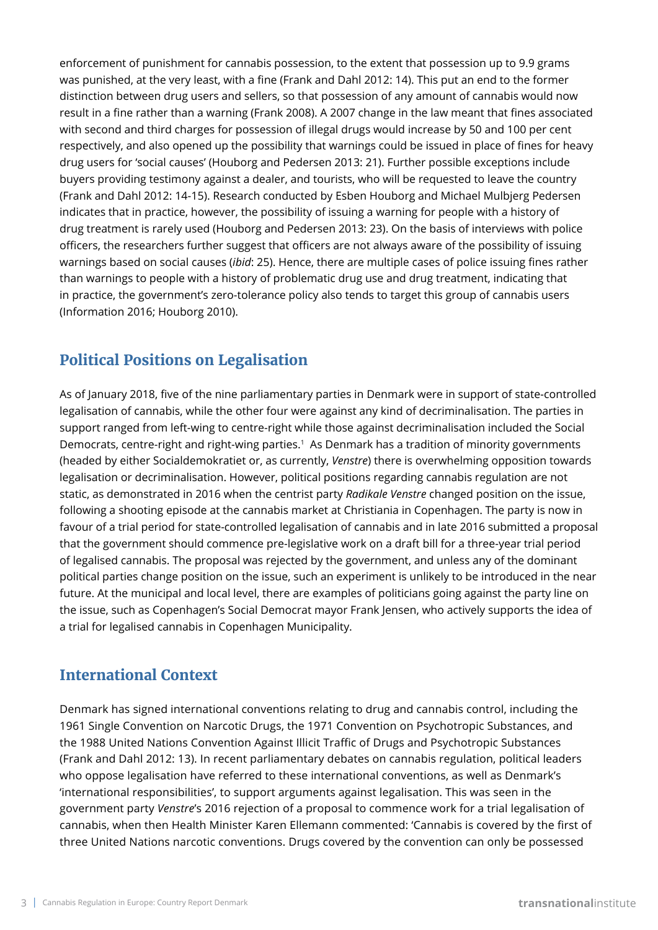enforcement of punishment for cannabis possession, to the extent that possession up to 9.9 grams was punished, at the very least, with a fine (Frank and Dahl 2012: 14). This put an end to the former distinction between drug users and sellers, so that possession of any amount of cannabis would now result in a fine rather than a warning (Frank 2008). A 2007 change in the law meant that fines associated with second and third charges for possession of illegal drugs would increase by 50 and 100 per cent respectively, and also opened up the possibility that warnings could be issued in place of fines for heavy drug users for 'social causes' (Houborg and Pedersen 2013: 21). Further possible exceptions include buyers providing testimony against a dealer, and tourists, who will be requested to leave the country (Frank and Dahl 2012: 14-15). Research conducted by Esben Houborg and Michael Mulbjerg Pedersen indicates that in practice, however, the possibility of issuing a warning for people with a history of drug treatment is rarely used (Houborg and Pedersen 2013: 23). On the basis of interviews with police officers, the researchers further suggest that officers are not always aware of the possibility of issuing warnings based on social causes (*ibid*: 25). Hence, there are multiple cases of police issuing fines rather than warnings to people with a history of problematic drug use and drug treatment, indicating that in practice, the government's zero-tolerance policy also tends to target this group of cannabis users (Information 2016; Houborg 2010).

# **Political Positions on Legalisation**

As of January 2018, five of the nine parliamentary parties in Denmark were in support of state-controlled legalisation of cannabis, while the other four were against any kind of decriminalisation. The parties in support ranged from left-wing to centre-right while those against decriminalisation included the Social Democrats, centre-right and right-wing parties.<sup>1</sup> As Denmark has a tradition of minority governments (headed by either Socialdemokratiet or, as currently, *Venstre*) there is overwhelming opposition towards legalisation or decriminalisation. However, political positions regarding cannabis regulation are not static, as demonstrated in 2016 when the centrist party *Radikale Venstre* changed position on the issue, following a shooting episode at the cannabis market at Christiania in Copenhagen. The party is now in favour of a trial period for state-controlled legalisation of cannabis and in late 2016 submitted a proposal that the government should commence pre-legislative work on a draft bill for a three-year trial period of legalised cannabis. The proposal was rejected by the government, and unless any of the dominant political parties change position on the issue, such an experiment is unlikely to be introduced in the near future. At the municipal and local level, there are examples of politicians going against the party line on the issue, such as Copenhagen's Social Democrat mayor Frank Jensen, who actively supports the idea of a trial for legalised cannabis in Copenhagen Municipality.

## **International Context**

Denmark has signed international conventions relating to drug and cannabis control, including the 1961 Single Convention on Narcotic Drugs, the 1971 Convention on Psychotropic Substances, and the 1988 United Nations Convention Against Illicit Traffic of Drugs and Psychotropic Substances (Frank and Dahl 2012: 13). In recent parliamentary debates on cannabis regulation, political leaders who oppose legalisation have referred to these international conventions, as well as Denmark's 'international responsibilities', to support arguments against legalisation. This was seen in the government party *Venstre*'s 2016 rejection of a proposal to commence work for a trial legalisation of cannabis, when then Health Minister Karen Ellemann commented: 'Cannabis is covered by the first of three United Nations narcotic conventions. Drugs covered by the convention can only be possessed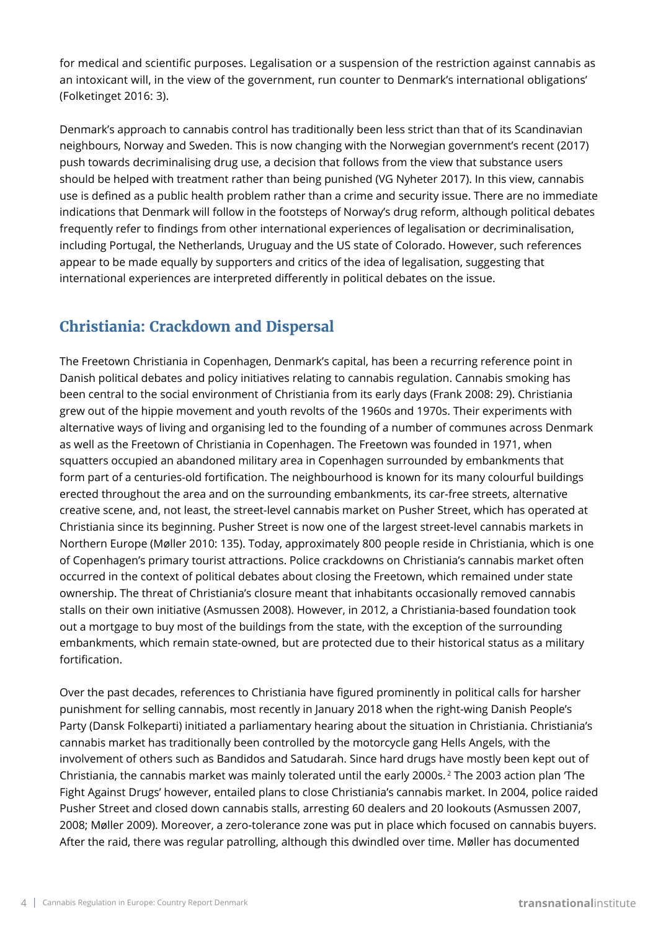for medical and scientific purposes. Legalisation or a suspension of the restriction against cannabis as an intoxicant will, in the view of the government, run counter to Denmark's international obligations' (Folketinget 2016: 3).

Denmark's approach to cannabis control has traditionally been less strict than that of its Scandinavian neighbours, Norway and Sweden. This is now changing with the Norwegian government's recent (2017) push towards decriminalising drug use, a decision that follows from the view that substance users should be helped with treatment rather than being punished (VG Nyheter 2017). In this view, cannabis use is defined as a public health problem rather than a crime and security issue. There are no immediate indications that Denmark will follow in the footsteps of Norway's drug reform, although political debates frequently refer to findings from other international experiences of legalisation or decriminalisation, including Portugal, the Netherlands, Uruguay and the US state of Colorado. However, such references appear to be made equally by supporters and critics of the idea of legalisation, suggesting that international experiences are interpreted differently in political debates on the issue.

## **Christiania: Crackdown and Dispersal**

The Freetown Christiania in Copenhagen, Denmark's capital, has been a recurring reference point in Danish political debates and policy initiatives relating to cannabis regulation. Cannabis smoking has been central to the social environment of Christiania from its early days (Frank 2008: 29). Christiania grew out of the hippie movement and youth revolts of the 1960s and 1970s. Their experiments with alternative ways of living and organising led to the founding of a number of communes across Denmark as well as the Freetown of Christiania in Copenhagen. The Freetown was founded in 1971, when squatters occupied an abandoned military area in Copenhagen surrounded by embankments that form part of a centuries-old fortification. The neighbourhood is known for its many colourful buildings erected throughout the area and on the surrounding embankments, its car-free streets, alternative creative scene, and, not least, the street-level cannabis market on Pusher Street, which has operated at Christiania since its beginning. Pusher Street is now one of the largest street-level cannabis markets in Northern Europe (Møller 2010: 135). Today, approximately 800 people reside in Christiania, which is one of Copenhagen's primary tourist attractions. Police crackdowns on Christiania's cannabis market often occurred in the context of political debates about closing the Freetown, which remained under state ownership. The threat of Christiania's closure meant that inhabitants occasionally removed cannabis stalls on their own initiative (Asmussen 2008). However, in 2012, a Christiania-based foundation took out a mortgage to buy most of the buildings from the state, with the exception of the surrounding embankments, which remain state-owned, but are protected due to their historical status as a military fortification.

Over the past decades, references to Christiania have figured prominently in political calls for harsher punishment for selling cannabis, most recently in January 2018 when the right-wing Danish People's Party (Dansk Folkeparti) initiated a parliamentary hearing about the situation in Christiania. Christiania's cannabis market has traditionally been controlled by the motorcycle gang Hells Angels, with the involvement of others such as Bandidos and Satudarah. Since hard drugs have mostly been kept out of Christiania, the cannabis market was mainly tolerated until the early 2000s. 2 The 2003 action plan 'The Fight Against Drugs' however, entailed plans to close Christiania's cannabis market. In 2004, police raided Pusher Street and closed down cannabis stalls, arresting 60 dealers and 20 lookouts (Asmussen 2007, 2008; Møller 2009). Moreover, a zero-tolerance zone was put in place which focused on cannabis buyers. After the raid, there was regular patrolling, although this dwindled over time. Møller has documented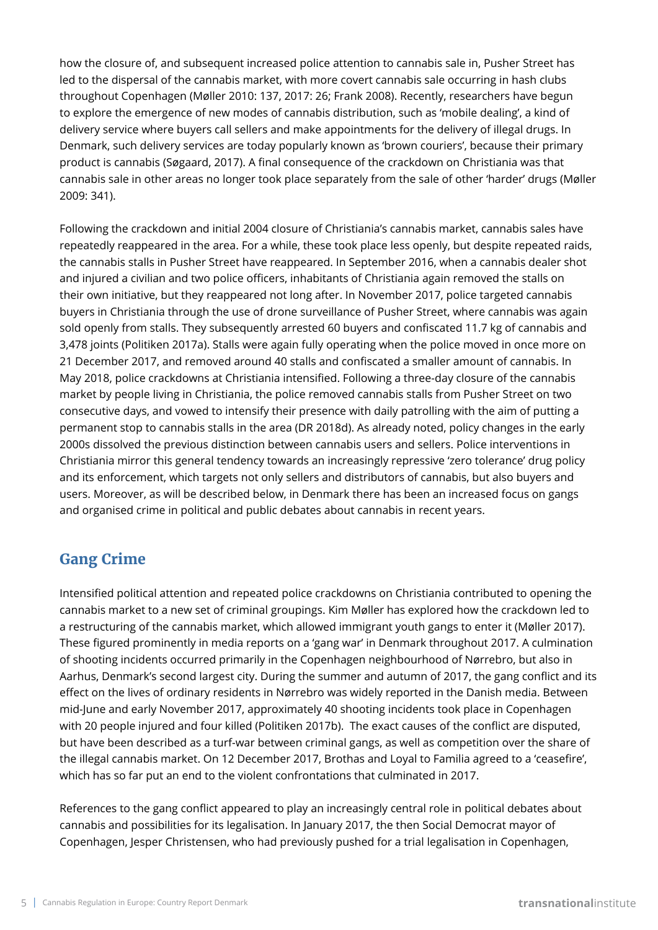how the closure of, and subsequent increased police attention to cannabis sale in, Pusher Street has led to the dispersal of the cannabis market, with more covert cannabis sale occurring in hash clubs throughout Copenhagen (Møller 2010: 137, 2017: 26; Frank 2008). Recently, researchers have begun to explore the emergence of new modes of cannabis distribution, such as 'mobile dealing', a kind of delivery service where buyers call sellers and make appointments for the delivery of illegal drugs. In Denmark, such delivery services are today popularly known as 'brown couriers', because their primary product is cannabis (Søgaard, 2017). A final consequence of the crackdown on Christiania was that cannabis sale in other areas no longer took place separately from the sale of other 'harder' drugs (Møller 2009: 341).

Following the crackdown and initial 2004 closure of Christiania's cannabis market, cannabis sales have repeatedly reappeared in the area. For a while, these took place less openly, but despite repeated raids, the cannabis stalls in Pusher Street have reappeared. In September 2016, when a cannabis dealer shot and injured a civilian and two police officers, inhabitants of Christiania again removed the stalls on their own initiative, but they reappeared not long after. In November 2017, police targeted cannabis buyers in Christiania through the use of drone surveillance of Pusher Street, where cannabis was again sold openly from stalls. They subsequently arrested 60 buyers and confiscated 11.7 kg of cannabis and 3,478 joints (Politiken 2017a). Stalls were again fully operating when the police moved in once more on 21 December 2017, and removed around 40 stalls and confiscated a smaller amount of cannabis. In May 2018, police crackdowns at Christiania intensified. Following a three-day closure of the cannabis market by people living in Christiania, the police removed cannabis stalls from Pusher Street on two consecutive days, and vowed to intensify their presence with daily patrolling with the aim of putting a permanent stop to cannabis stalls in the area (DR 2018d). As already noted, policy changes in the early 2000s dissolved the previous distinction between cannabis users and sellers. Police interventions in Christiania mirror this general tendency towards an increasingly repressive 'zero tolerance' drug policy and its enforcement, which targets not only sellers and distributors of cannabis, but also buyers and users. Moreover, as will be described below, in Denmark there has been an increased focus on gangs and organised crime in political and public debates about cannabis in recent years.

## **Gang Crime**

Intensified political attention and repeated police crackdowns on Christiania contributed to opening the cannabis market to a new set of criminal groupings. Kim Møller has explored how the crackdown led to a restructuring of the cannabis market, which allowed immigrant youth gangs to enter it (Møller 2017). These figured prominently in media reports on a 'gang war' in Denmark throughout 2017. A culmination of shooting incidents occurred primarily in the Copenhagen neighbourhood of Nørrebro, but also in Aarhus, Denmark's second largest city. During the summer and autumn of 2017, the gang conflict and its effect on the lives of ordinary residents in Nørrebro was widely reported in the Danish media. Between mid-June and early November 2017, approximately 40 shooting incidents took place in Copenhagen with 20 people injured and four killed (Politiken 2017b). The exact causes of the conflict are disputed, but have been described as a turf-war between criminal gangs, as well as competition over the share of the illegal cannabis market. On 12 December 2017, Brothas and Loyal to Familia agreed to a 'ceasefire', which has so far put an end to the violent confrontations that culminated in 2017.

References to the gang conflict appeared to play an increasingly central role in political debates about cannabis and possibilities for its legalisation. In January 2017, the then Social Democrat mayor of Copenhagen, Jesper Christensen, who had previously pushed for a trial legalisation in Copenhagen,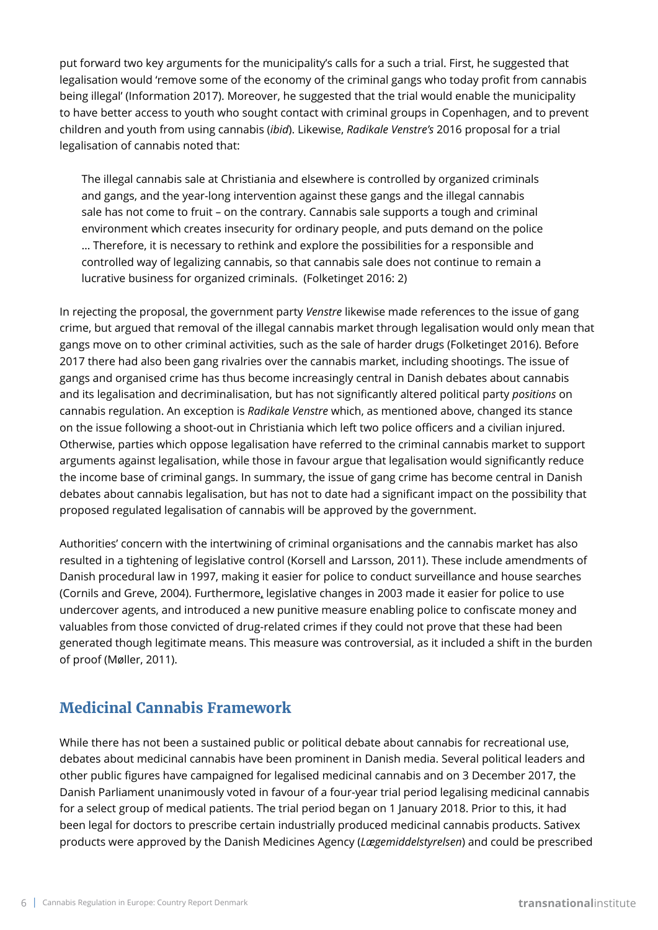put forward two key arguments for the municipality's calls for a such a trial. First, he suggested that legalisation would 'remove some of the economy of the criminal gangs who today profit from cannabis being illegal' (Information 2017). Moreover, he suggested that the trial would enable the municipality to have better access to youth who sought contact with criminal groups in Copenhagen, and to prevent children and youth from using cannabis (*ibid*). Likewise, *Radikale Venstre's* 2016 proposal for a trial legalisation of cannabis noted that:

The illegal cannabis sale at Christiania and elsewhere is controlled by organized criminals and gangs, and the year-long intervention against these gangs and the illegal cannabis sale has not come to fruit – on the contrary. Cannabis sale supports a tough and criminal environment which creates insecurity for ordinary people, and puts demand on the police … Therefore, it is necessary to rethink and explore the possibilities for a responsible and controlled way of legalizing cannabis, so that cannabis sale does not continue to remain a lucrative business for organized criminals. (Folketinget 2016: 2)

In rejecting the proposal, the government party *Venstre* likewise made references to the issue of gang crime, but argued that removal of the illegal cannabis market through legalisation would only mean that gangs move on to other criminal activities, such as the sale of harder drugs (Folketinget 2016). Before 2017 there had also been gang rivalries over the cannabis market, including shootings. The issue of gangs and organised crime has thus become increasingly central in Danish debates about cannabis and its legalisation and decriminalisation, but has not significantly altered political party *positions* on cannabis regulation. An exception is *Radikale Venstre* which, as mentioned above, changed its stance on the issue following a shoot-out in Christiania which left two police officers and a civilian injured. Otherwise, parties which oppose legalisation have referred to the criminal cannabis market to support arguments against legalisation, while those in favour argue that legalisation would significantly reduce the income base of criminal gangs. In summary, the issue of gang crime has become central in Danish debates about cannabis legalisation, but has not to date had a significant impact on the possibility that proposed regulated legalisation of cannabis will be approved by the government.

Authorities' concern with the intertwining of criminal organisations and the cannabis market has also resulted in a tightening of legislative control (Korsell and Larsson, 2011). These include amendments of Danish procedural law in 1997, making it easier for police to conduct surveillance and house searches (Cornils and Greve, 2004). Furthermore, legislative changes in 2003 made it easier for police to use undercover agents, and introduced a new punitive measure enabling police to confiscate money and valuables from those convicted of drug-related crimes if they could not prove that these had been generated though legitimate means. This measure was controversial, as it included a shift in the burden of proof (Møller, 2011).

## **Medicinal Cannabis Framework**

While there has not been a sustained public or political debate about cannabis for recreational use, debates about medicinal cannabis have been prominent in Danish media. Several political leaders and other public figures have campaigned for legalised medicinal cannabis and on 3 December 2017, the Danish Parliament unanimously voted in favour of a four-year trial period legalising medicinal cannabis for a select group of medical patients. The trial period began on 1 January 2018. Prior to this, it had been legal for doctors to prescribe certain industrially produced medicinal cannabis products. Sativex products were approved by the Danish Medicines Agency (*Lægemiddelstyrelsen*) and could be prescribed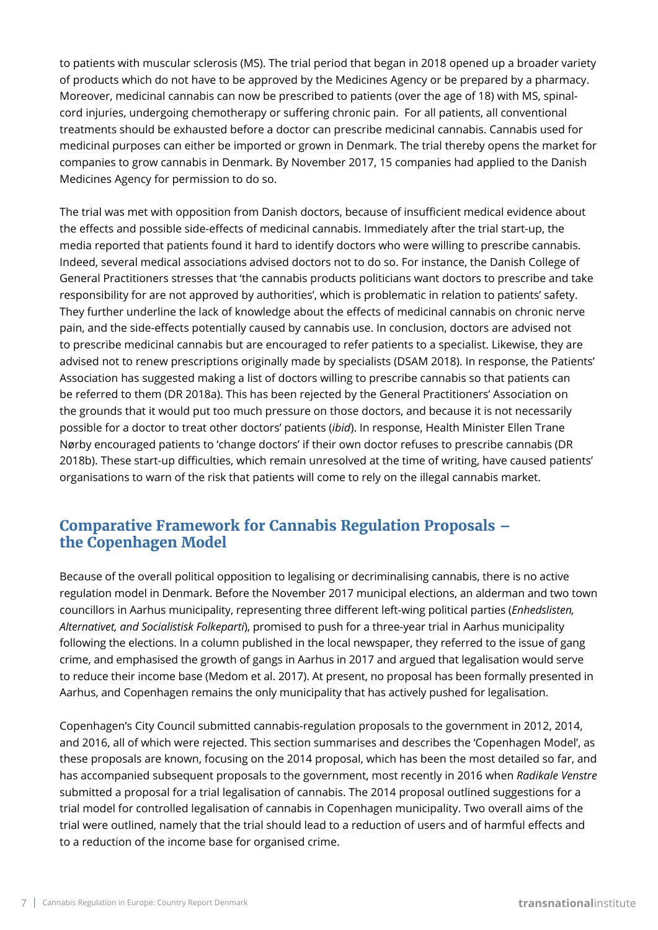to patients with muscular sclerosis (MS). The trial period that began in 2018 opened up a broader variety of products which do not have to be approved by the Medicines Agency or be prepared by a pharmacy. Moreover, medicinal cannabis can now be prescribed to patients (over the age of 18) with MS, spinalcord injuries, undergoing chemotherapy or suffering chronic pain. For all patients, all conventional treatments should be exhausted before a doctor can prescribe medicinal cannabis. Cannabis used for medicinal purposes can either be imported or grown in Denmark. The trial thereby opens the market for companies to grow cannabis in Denmark. By November 2017, 15 companies had applied to the Danish Medicines Agency for permission to do so.

The trial was met with opposition from Danish doctors, because of insufficient medical evidence about the effects and possible side-effects of medicinal cannabis. Immediately after the trial start-up, the media reported that patients found it hard to identify doctors who were willing to prescribe cannabis. Indeed, several medical associations advised doctors not to do so. For instance, the Danish College of General Practitioners stresses that 'the cannabis products politicians want doctors to prescribe and take responsibility for are not approved by authorities', which is problematic in relation to patients' safety. They further underline the lack of knowledge about the effects of medicinal cannabis on chronic nerve pain, and the side-effects potentially caused by cannabis use. In conclusion, doctors are advised not to prescribe medicinal cannabis but are encouraged to refer patients to a specialist. Likewise, they are advised not to renew prescriptions originally made by specialists (DSAM 2018). In response, the Patients' Association has suggested making a list of doctors willing to prescribe cannabis so that patients can be referred to them (DR 2018a). This has been rejected by the General Practitioners' Association on the grounds that it would put too much pressure on those doctors, and because it is not necessarily possible for a doctor to treat other doctors' patients (*ibid*). In response, Health Minister Ellen Trane Nørby encouraged patients to 'change doctors' if their own doctor refuses to prescribe cannabis (DR 2018b). These start-up difficulties, which remain unresolved at the time of writing, have caused patients' organisations to warn of the risk that patients will come to rely on the illegal cannabis market.

## **Comparative Framework for Cannabis Regulation Proposals – the Copenhagen Model**

Because of the overall political opposition to legalising or decriminalising cannabis, there is no active regulation model in Denmark. Before the November 2017 municipal elections, an alderman and two town councillors in Aarhus municipality, representing three different left-wing political parties (*Enhedslisten, Alternativet, and Socialistisk Folkeparti*), promised to push for a three-year trial in Aarhus municipality following the elections. In a column published in the local newspaper, they referred to the issue of gang crime, and emphasised the growth of gangs in Aarhus in 2017 and argued that legalisation would serve to reduce their income base (Medom et al. 2017). At present, no proposal has been formally presented in Aarhus, and Copenhagen remains the only municipality that has actively pushed for legalisation.

Copenhagen's City Council submitted cannabis-regulation proposals to the government in 2012, 2014, and 2016, all of which were rejected. This section summarises and describes the 'Copenhagen Model', as these proposals are known, focusing on the 2014 proposal, which has been the most detailed so far, and has accompanied subsequent proposals to the government, most recently in 2016 when *Radikale Venstre* submitted a proposal for a trial legalisation of cannabis. The 2014 proposal outlined suggestions for a trial model for controlled legalisation of cannabis in Copenhagen municipality. Two overall aims of the trial were outlined, namely that the trial should lead to a reduction of users and of harmful effects and to a reduction of the income base for organised crime.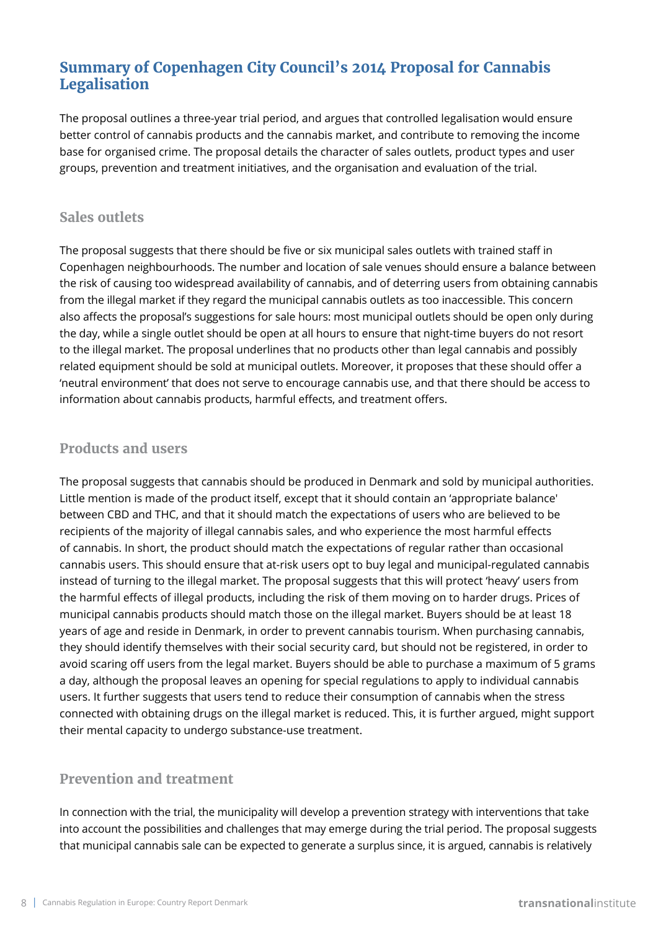## **Summary of Copenhagen City Council's 2014 Proposal for Cannabis Legalisation**

The proposal outlines a three-year trial period, and argues that controlled legalisation would ensure better control of cannabis products and the cannabis market, and contribute to removing the income base for organised crime. The proposal details the character of sales outlets, product types and user groups, prevention and treatment initiatives, and the organisation and evaluation of the trial.

## **Sales outlets**

The proposal suggests that there should be five or six municipal sales outlets with trained staff in Copenhagen neighbourhoods. The number and location of sale venues should ensure a balance between the risk of causing too widespread availability of cannabis, and of deterring users from obtaining cannabis from the illegal market if they regard the municipal cannabis outlets as too inaccessible. This concern also affects the proposal's suggestions for sale hours: most municipal outlets should be open only during the day, while a single outlet should be open at all hours to ensure that night-time buyers do not resort to the illegal market. The proposal underlines that no products other than legal cannabis and possibly related equipment should be sold at municipal outlets. Moreover, it proposes that these should offer a 'neutral environment' that does not serve to encourage cannabis use, and that there should be access to information about cannabis products, harmful effects, and treatment offers.

## **Products and users**

The proposal suggests that cannabis should be produced in Denmark and sold by municipal authorities. Little mention is made of the product itself, except that it should contain an 'appropriate balance' between CBD and THC, and that it should match the expectations of users who are believed to be recipients of the majority of illegal cannabis sales, and who experience the most harmful effects of cannabis. In short, the product should match the expectations of regular rather than occasional cannabis users. This should ensure that at-risk users opt to buy legal and municipal-regulated cannabis instead of turning to the illegal market. The proposal suggests that this will protect 'heavy' users from the harmful effects of illegal products, including the risk of them moving on to harder drugs. Prices of municipal cannabis products should match those on the illegal market. Buyers should be at least 18 years of age and reside in Denmark, in order to prevent cannabis tourism. When purchasing cannabis, they should identify themselves with their social security card, but should not be registered, in order to avoid scaring off users from the legal market. Buyers should be able to purchase a maximum of 5 grams a day, although the proposal leaves an opening for special regulations to apply to individual cannabis users. It further suggests that users tend to reduce their consumption of cannabis when the stress connected with obtaining drugs on the illegal market is reduced. This, it is further argued, might support their mental capacity to undergo substance-use treatment.

## **Prevention and treatment**

In connection with the trial, the municipality will develop a prevention strategy with interventions that take into account the possibilities and challenges that may emerge during the trial period. The proposal suggests that municipal cannabis sale can be expected to generate a surplus since, it is argued, cannabis is relatively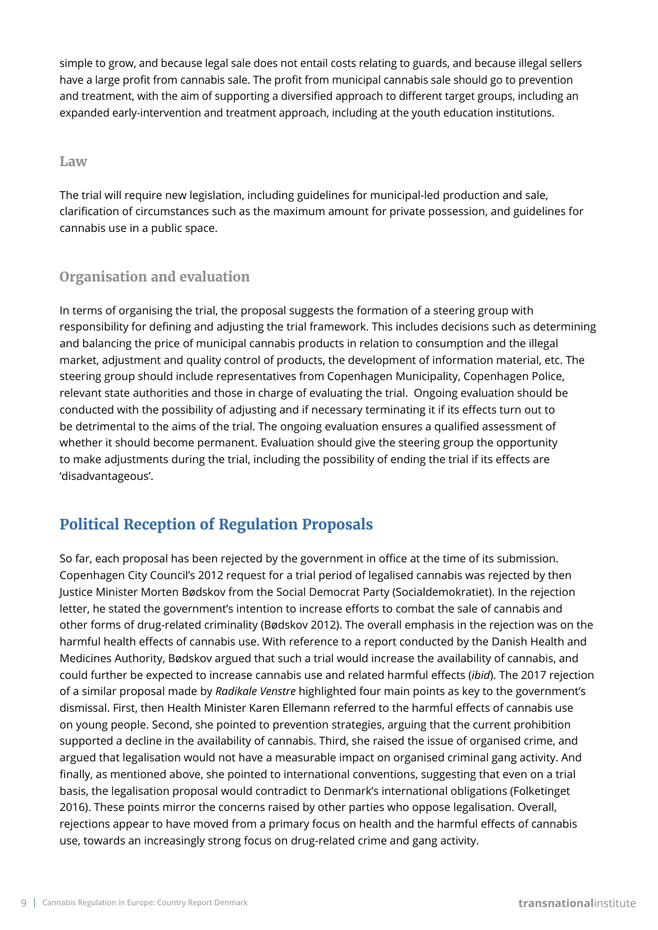simple to grow, and because legal sale does not entail costs relating to guards, and because illegal sellers have a large profit from cannabis sale. The profit from municipal cannabis sale should go to prevention and treatment, with the aim of supporting a diversified approach to different target groups, including an expanded early-intervention and treatment approach, including at the youth education institutions.

#### **Law**

The trial will require new legislation, including guidelines for municipal-led production and sale, clarification of circumstances such as the maximum amount for private possession, and guidelines for cannabis use in a public space.

## **Organisation and evaluation**

In terms of organising the trial, the proposal suggests the formation of a steering group with responsibility for defining and adjusting the trial framework. This includes decisions such as determining and balancing the price of municipal cannabis products in relation to consumption and the illegal market, adjustment and quality control of products, the development of information material, etc. The steering group should include representatives from Copenhagen Municipality, Copenhagen Police, relevant state authorities and those in charge of evaluating the trial. Ongoing evaluation should be conducted with the possibility of adjusting and if necessary terminating it if its effects turn out to be detrimental to the aims of the trial. The ongoing evaluation ensures a qualified assessment of whether it should become permanent. Evaluation should give the steering group the opportunity to make adjustments during the trial, including the possibility of ending the trial if its effects are 'disadvantageous'.

# **Political Reception of Regulation Proposals**

So far, each proposal has been rejected by the government in office at the time of its submission. Copenhagen City Council's 2012 request for a trial period of legalised cannabis was rejected by then Justice Minister Morten Bødskov from the Social Democrat Party (Socialdemokratiet). In the rejection letter, he stated the government's intention to increase efforts to combat the sale of cannabis and other forms of drug-related criminality (Bødskov 2012). The overall emphasis in the rejection was on the harmful health effects of cannabis use. With reference to a report conducted by the Danish Health and Medicines Authority, Bødskov argued that such a trial would increase the availability of cannabis, and could further be expected to increase cannabis use and related harmful effects (*ibid*). The 2017 rejection of a similar proposal made by *Radikale Venstre* highlighted four main points as key to the government's dismissal. First, then Health Minister Karen Ellemann referred to the harmful effects of cannabis use on young people. Second, she pointed to prevention strategies, arguing that the current prohibition supported a decline in the availability of cannabis. Third, she raised the issue of organised crime, and argued that legalisation would not have a measurable impact on organised criminal gang activity. And finally, as mentioned above, she pointed to international conventions, suggesting that even on a trial basis, the legalisation proposal would contradict to Denmark's international obligations (Folketinget 2016). These points mirror the concerns raised by other parties who oppose legalisation. Overall, rejections appear to have moved from a primary focus on health and the harmful effects of cannabis use, towards an increasingly strong focus on drug-related crime and gang activity.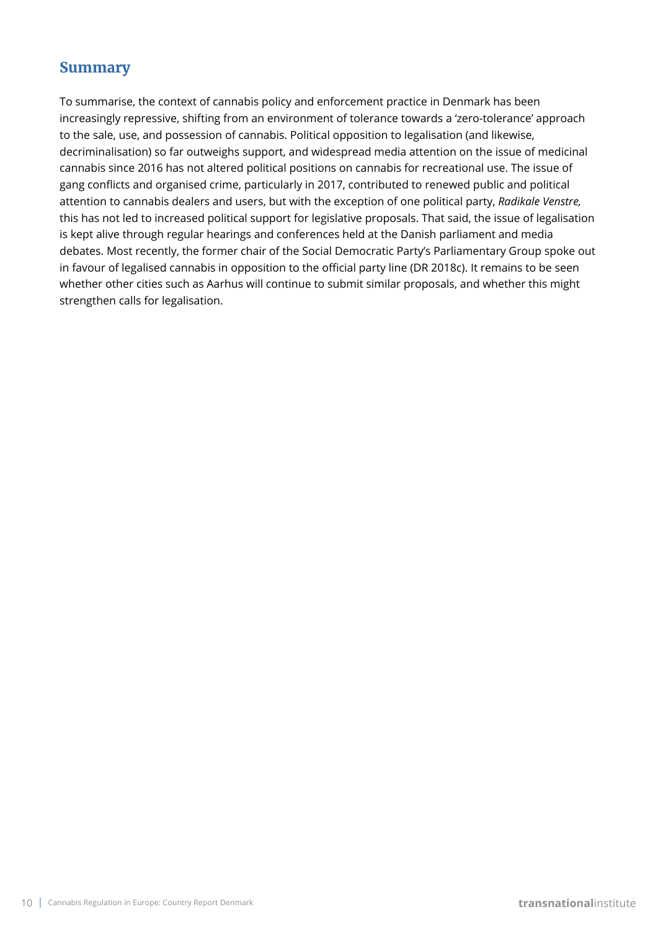## **Summary**

To summarise, the context of cannabis policy and enforcement practice in Denmark has been increasingly repressive, shifting from an environment of tolerance towards a 'zero-tolerance' approach to the sale, use, and possession of cannabis. Political opposition to legalisation (and likewise, decriminalisation) so far outweighs support, and widespread media attention on the issue of medicinal cannabis since 2016 has not altered political positions on cannabis for recreational use. The issue of gang conflicts and organised crime, particularly in 2017, contributed to renewed public and political attention to cannabis dealers and users, but with the exception of one political party, *Radikale Venstre,* this has not led to increased political support for legislative proposals. That said, the issue of legalisation is kept alive through regular hearings and conferences held at the Danish parliament and media debates. Most recently, the former chair of the Social Democratic Party's Parliamentary Group spoke out in favour of legalised cannabis in opposition to the official party line (DR 2018c). It remains to be seen whether other cities such as Aarhus will continue to submit similar proposals, and whether this might strengthen calls for legalisation.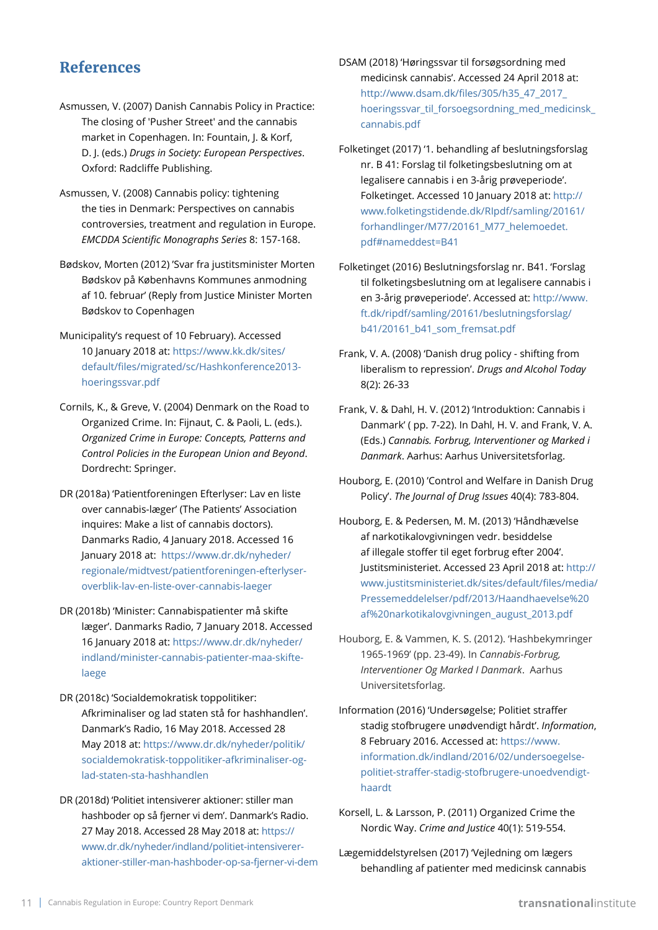## **References**

- Asmussen, V. (2007) Danish Cannabis Policy in Practice: The closing of 'Pusher Street' and the cannabis market in Copenhagen. In: Fountain, J. & Korf, D. J. (eds.) *Drugs in Society: European Perspectives*. Oxford: Radcliffe Publishing.
- Asmussen, V. (2008) Cannabis policy: tightening the ties in Denmark: Perspectives on cannabis controversies, treatment and regulation in Europe. *EMCDDA Scientific Monographs Series* 8: 157-168.
- Bødskov, Morten (2012) 'Svar fra justitsminister Morten Bødskov på Københavns Kommunes anmodning af 10. februar' (Reply from Justice Minister Morten Bødskov to Copenhagen
- Municipality's request of 10 February). Accessed 10 January 2018 at: [https://www.kk.dk/sites/](https://www.kk.dk/sites/default/files/migrated/sc/Hashkonference2013-hoeringssvar.pdf) [default/files/migrated/sc/Hashkonference2013](https://www.kk.dk/sites/default/files/migrated/sc/Hashkonference2013-hoeringssvar.pdf) [hoeringssvar.pdf](https://www.kk.dk/sites/default/files/migrated/sc/Hashkonference2013-hoeringssvar.pdf)
- Cornils, K., & Greve, V. (2004) Denmark on the Road to Organized Crime. In: Fijnaut, C. & Paoli, L. (eds.). *Organized Crime in Europe: Concepts, Patterns and Control Policies in the European Union and Beyond*. Dordrecht: Springer.
- DR (2018a) 'Patientforeningen Efterlyser: Lav en liste over cannabis-læger' (The Patients' Association inquires: Make a list of cannabis doctors). Danmarks Radio, 4 January 2018. Accessed 16 January 2018 at: [https://www.dr.dk/nyheder/](https://www.dr.dk/nyheder/regionale/midtvest/patientforeningen-efterlyser-overblik-lav-en-liste-over-cannabis-laeger) [regionale/midtvest/patientforeningen-efterlyser](https://www.dr.dk/nyheder/regionale/midtvest/patientforeningen-efterlyser-overblik-lav-en-liste-over-cannabis-laeger)[overblik-lav-en-liste-over-cannabis-laeger](https://www.dr.dk/nyheder/regionale/midtvest/patientforeningen-efterlyser-overblik-lav-en-liste-over-cannabis-laeger)
- DR (2018b) 'Minister: Cannabispatienter må skifte læger'. Danmarks Radio, 7 January 2018. Accessed 16 January 2018 at: [https://www.dr.dk/nyheder/](https://www.dr.dk/nyheder/indland/minister-cannabis-patienter-maa-skifte-laege) [indland/minister-cannabis-patienter-maa-skifte](https://www.dr.dk/nyheder/indland/minister-cannabis-patienter-maa-skifte-laege)[laege](https://www.dr.dk/nyheder/indland/minister-cannabis-patienter-maa-skifte-laege)
- DR (2018c) 'Socialdemokratisk toppolitiker: Afkriminaliser og lad staten stå for hashhandlen'. Danmark's Radio, 16 May 2018. Accessed 28 May 2018 at: [https://www.dr.dk/nyheder/politik/](https://www.dr.dk/nyheder/politik/socialdemokratisk-toppolitiker-afkriminaliser-og-lad-staten-sta-hashhandlen) [socialdemokratisk-toppolitiker-afkriminaliser-og](https://www.dr.dk/nyheder/politik/socialdemokratisk-toppolitiker-afkriminaliser-og-lad-staten-sta-hashhandlen)[lad-staten-sta-hashhandlen](https://www.dr.dk/nyheder/politik/socialdemokratisk-toppolitiker-afkriminaliser-og-lad-staten-sta-hashhandlen)
- DR (2018d) 'Politiet intensiverer aktioner: stiller man hashboder op så fjerner vi dem'. Danmark's Radio. 27 May 2018. Accessed 28 May 2018 at: [https://](https://www.dr.dk/nyheder/indland/politiet-intensiverer-aktioner-stiller-man-hashboder-op-sa-fjerner-vi-dem ) [www.dr.dk/nyheder/indland/politiet-intensiverer](https://www.dr.dk/nyheder/indland/politiet-intensiverer-aktioner-stiller-man-hashboder-op-sa-fjerner-vi-dem )[aktioner-stiller-man-hashboder-op-sa-fjerner-vi-dem](https://www.dr.dk/nyheder/indland/politiet-intensiverer-aktioner-stiller-man-hashboder-op-sa-fjerner-vi-dem )
- DSAM (2018) 'Høringssvar til forsøgsordning med medicinsk cannabis'. Accessed 24 April 2018 at: [http://www.dsam.dk/files/305/h35\\_47\\_2017\\_](http://www.dsam.dk/files/305/h35_47_2017_hoeringssvar_til_forsoegsordning_med_medicinsk_cannabis.pdf) [hoeringssvar\\_til\\_forsoegsordning\\_med\\_medicinsk\\_](http://www.dsam.dk/files/305/h35_47_2017_hoeringssvar_til_forsoegsordning_med_medicinsk_cannabis.pdf) [cannabis.pdf](http://www.dsam.dk/files/305/h35_47_2017_hoeringssvar_til_forsoegsordning_med_medicinsk_cannabis.pdf)
- Folketinget (2017) '1. behandling af beslutningsforslag nr. B 41: Forslag til folketingsbeslutning om at legalisere cannabis i en 3-årig prøveperiode'. Folketinget. Accessed 10 January 2018 at: [http://](http://www.folketingstidende.dk/RIpdf/samling/20161/forhandlinger/M77/20161_M77_helemoedet.pdf#nameddest=B41) [www.folketingstidende.dk/RIpdf/samling/20161/](http://www.folketingstidende.dk/RIpdf/samling/20161/forhandlinger/M77/20161_M77_helemoedet.pdf#nameddest=B41) [forhandlinger/M77/20161\\_M77\\_helemoedet.](http://www.folketingstidende.dk/RIpdf/samling/20161/forhandlinger/M77/20161_M77_helemoedet.pdf#nameddest=B41) [pdf#nameddest=B41](http://www.folketingstidende.dk/RIpdf/samling/20161/forhandlinger/M77/20161_M77_helemoedet.pdf#nameddest=B41)
- Folketinget (2016) Beslutningsforslag nr. B41. 'Forslag til folketingsbeslutning om at legalisere cannabis i en 3-årig prøveperiode'. Accessed at: [http://www.](http://www.ft.dk/ripdf/samling/20161/beslutningsforslag/b41/20161_b41_som_fremsat.pdf) [ft.dk/ripdf/samling/20161/beslutningsforslag/](http://www.ft.dk/ripdf/samling/20161/beslutningsforslag/b41/20161_b41_som_fremsat.pdf) [b41/20161\\_b41\\_som\\_fremsat.pdf](http://www.ft.dk/ripdf/samling/20161/beslutningsforslag/b41/20161_b41_som_fremsat.pdf)
- Frank, V. A. (2008) 'Danish drug policy shifting from liberalism to repression'. *Drugs and Alcohol Today* 8(2): 26-33
- Frank, V. & Dahl, H. V. (2012) 'Introduktion: Cannabis i Danmark' ( pp. 7-22). In Dahl, H. V. and Frank, V. A. (Eds.) *Cannabis. Forbrug, Interventioner og Marked i Danmark*. Aarhus: Aarhus Universitetsforlag.
- Houborg, E. (2010) 'Control and Welfare in Danish Drug Policy'. *The Journal of Drug Issues* 40(4): 783-804.
- Houborg, E. & Pedersen, M. M. (2013) 'Håndhævelse af narkotikalovgivningen vedr. besiddelse af illegale stoffer til eget forbrug efter 2004'. Justitsministeriet. Accessed 23 April 2018 at: [http://](http://www.justitsministeriet.dk/sites/default/files/media/Pressemeddelelser/pdf/2013/Haandhaevelse%20af%20narkotikalovgivningen_august_2013.pdf) [www.justitsministeriet.dk/sites/default/files/media/](http://www.justitsministeriet.dk/sites/default/files/media/Pressemeddelelser/pdf/2013/Haandhaevelse%20af%20narkotikalovgivningen_august_2013.pdf) [Pressemeddelelser/pdf/2013/Haandhaevelse%20](http://www.justitsministeriet.dk/sites/default/files/media/Pressemeddelelser/pdf/2013/Haandhaevelse%20af%20narkotikalovgivningen_august_2013.pdf) [af%20narkotikalovgivningen\\_august\\_2013.pdf](http://www.justitsministeriet.dk/sites/default/files/media/Pressemeddelelser/pdf/2013/Haandhaevelse%20af%20narkotikalovgivningen_august_2013.pdf)
- Houborg, E. & Vammen, K. S. (2012). 'Hashbekymringer 1965-1969' (pp. 23-49). In *Cannabis-Forbrug, Interventioner Og Marked I Danmark*. Aarhus Universitetsforlag.
- Information (2016) 'Undersøgelse; Politiet straffer stadig stofbrugere unødvendigt hårdt'. *Information*, 8 February 2016. Accessed at: [https://www.](https://www.information.dk/indland/2016/02/undersoegelse-politiet-straffer-stadig-stofbrugere-unoedvendigt-haardt) [information.dk/indland/2016/02/undersoegelse](https://www.information.dk/indland/2016/02/undersoegelse-politiet-straffer-stadig-stofbrugere-unoedvendigt-haardt)[politiet-straffer-stadig-stofbrugere-unoedvendigt](https://www.information.dk/indland/2016/02/undersoegelse-politiet-straffer-stadig-stofbrugere-unoedvendigt-haardt)[haardt](https://www.information.dk/indland/2016/02/undersoegelse-politiet-straffer-stadig-stofbrugere-unoedvendigt-haardt)
- Korsell, L. & Larsson, P. (2011) Organized Crime the Nordic Way. *Crime and Justice* 40(1): 519-554.
- Lægemiddelstyrelsen (2017) 'Vejledning om lægers behandling af patienter med medicinsk cannabis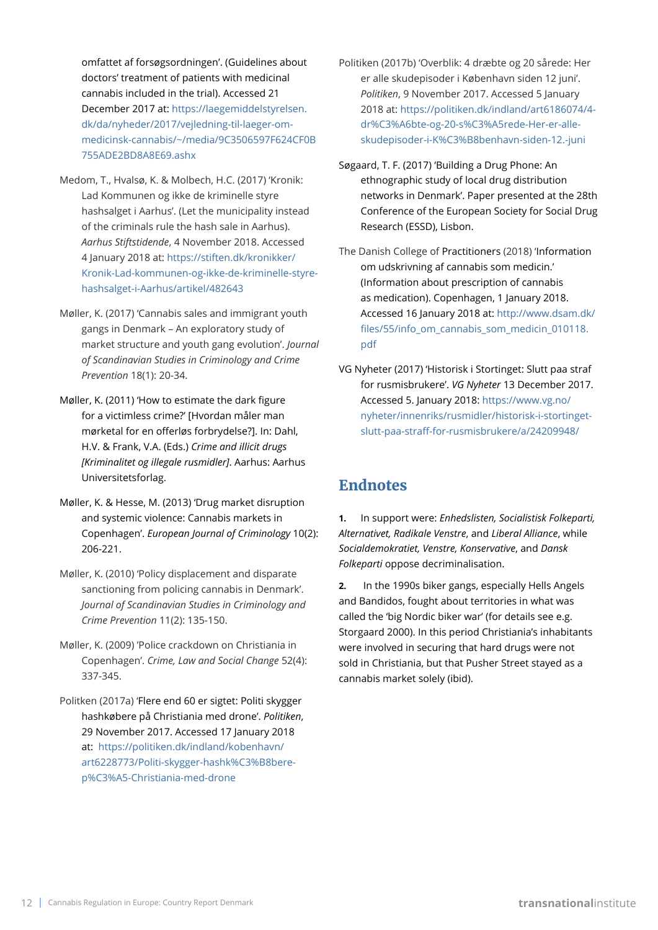omfattet af forsøgsordningen'. (Guidelines about doctors' treatment of patients with medicinal cannabis included in the trial). Accessed 21 December 2017 at: [https://laegemiddelstyrelsen.](https://laegemiddelstyrelsen.dk/da/nyheder/2017/vejledning-til-laeger-om-medicinsk-cannabis/~/media/9C3506597F624CF0B755ADE2BD8A8E69.ashx) [dk/da/nyheder/2017/vejledning-til-laeger-om](https://laegemiddelstyrelsen.dk/da/nyheder/2017/vejledning-til-laeger-om-medicinsk-cannabis/~/media/9C3506597F624CF0B755ADE2BD8A8E69.ashx)[medicinsk-cannabis/~/media/9C3506597F624CF0B](https://laegemiddelstyrelsen.dk/da/nyheder/2017/vejledning-til-laeger-om-medicinsk-cannabis/~/media/9C3506597F624CF0B755ADE2BD8A8E69.ashx) [755ADE2BD8A8E69.ashx](https://laegemiddelstyrelsen.dk/da/nyheder/2017/vejledning-til-laeger-om-medicinsk-cannabis/~/media/9C3506597F624CF0B755ADE2BD8A8E69.ashx)

- Medom, T., Hvalsø, K. & Molbech, H.C. (2017) 'Kronik: Lad Kommunen og ikke de kriminelle styre hashsalget i Aarhus'. (Let the municipality instead of the criminals rule the hash sale in Aarhus). *Aarhus Stiftstidende*, 4 November 2018. Accessed 4 January 2018 at: [https://stiften.dk/kronikker/](https://stiften.dk/kronikker/Kronik-Lad-kommunen-og-ikke-de-kriminelle-styre-hashsalget-i-Aarhus/artikel/482643) [Kronik-Lad-kommunen-og-ikke-de-kriminelle-styre](https://stiften.dk/kronikker/Kronik-Lad-kommunen-og-ikke-de-kriminelle-styre-hashsalget-i-Aarhus/artikel/482643)[hashsalget-i-Aarhus/artikel/482643](https://stiften.dk/kronikker/Kronik-Lad-kommunen-og-ikke-de-kriminelle-styre-hashsalget-i-Aarhus/artikel/482643)
- Møller, K. (2017) 'Cannabis sales and immigrant youth gangs in Denmark – An exploratory study of market structure and youth gang evolution'. *Journal of Scandinavian Studies in Criminology and Crime Prevention* 18(1): 20-34.
- Møller, K. (2011) 'How to estimate the dark figure for a victimless crime?' [Hvordan måler man mørketal for en offerløs forbrydelse?]. In: Dahl, H.V. & Frank, V.A. (Eds.) *Crime and illicit drugs [Kriminalitet og illegale rusmidler]*. Aarhus: Aarhus Universitetsforlag.
- Møller, K. & Hesse, M. (2013) 'Drug market disruption and systemic violence: Cannabis markets in Copenhagen'. *European Journal of Criminology* 10(2): 206-221.
- Møller, K. (2010) 'Policy displacement and disparate sanctioning from policing cannabis in Denmark'. *Journal of Scandinavian Studies in Criminology and Crime Prevention* 11(2): 135-150.
- Møller, K. (2009) 'Police crackdown on Christiania in Copenhagen'. *Crime, Law and Social Change* 52(4): 337-345.
- Politken (2017a) 'Flere end 60 er sigtet: Politi skygger hashkøbere på Christiania med drone'. *Politiken*, 29 November 2017. Accessed 17 January 2018 at: [https://politiken.dk/indland/kobenhavn/](https://politiken.dk/indland/kobenhavn/art6228773/Politi-skygger-hashk%C3%B8bere-p%C3%A5-Christiania-med-drone) [art6228773/Politi-skygger-hashk%C3%B8bere](https://politiken.dk/indland/kobenhavn/art6228773/Politi-skygger-hashk%C3%B8bere-p%C3%A5-Christiania-med-drone)[p%C3%A5-Christiania-med-drone](https://politiken.dk/indland/kobenhavn/art6228773/Politi-skygger-hashk%C3%B8bere-p%C3%A5-Christiania-med-drone)
- Politiken (2017b) 'Overblik: 4 dræbte og 20 sårede: Her er alle skudepisoder i København siden 12 juni'. *Politiken*, 9 November 2017. Accessed 5 January 2018 at: [https://politiken.dk/indland/art6186074/4](https://politiken.dk/indland/art6186074/4-dr%C3%A6bte-og-20-s%C3%A5rede-Her-er-alle-skudepisoder-i-K%C3%B8benhavn-siden-12.-juni) [dr%C3%A6bte-og-20-s%C3%A5rede-Her-er-alle](https://politiken.dk/indland/art6186074/4-dr%C3%A6bte-og-20-s%C3%A5rede-Her-er-alle-skudepisoder-i-K%C3%B8benhavn-siden-12.-juni)[skudepisoder-i-K%C3%B8benhavn-siden-12.-juni](https://politiken.dk/indland/art6186074/4-dr%C3%A6bte-og-20-s%C3%A5rede-Her-er-alle-skudepisoder-i-K%C3%B8benhavn-siden-12.-juni)
- Søgaard, T. F. (2017) 'Building a Drug Phone: An ethnographic study of local drug distribution networks in Denmark'. Paper presented at the 28th Conference of the European Society for Social Drug Research (ESSD), Lisbon.
- The Danish College of Practitioners (2018) 'Information om udskrivning af cannabis som medicin.' (Information about prescription of cannabis as medication). Copenhagen, 1 January 2018. Accessed 16 January 2018 at: [http://www.dsam.dk/](http://www.dsam.dk/files/55/info_om_cannabis_som_medicin_010118.pdf) [files/55/info\\_om\\_cannabis\\_som\\_medicin\\_010118.](http://www.dsam.dk/files/55/info_om_cannabis_som_medicin_010118.pdf) [pdf](http://www.dsam.dk/files/55/info_om_cannabis_som_medicin_010118.pdf)
- VG Nyheter (2017) 'Historisk i Stortinget: Slutt paa straf for rusmisbrukere'. *VG Nyheter* 13 December 2017. Accessed 5. January 2018: [https://www.vg.no/](https://www.vg.no/nyheter/innenriks/rusmidler/historisk-i-stortinget-slutt-paa-straff-for-rusmisbrukere/a/24209948/) [nyheter/innenriks/rusmidler/historisk-i-stortinget](https://www.vg.no/nyheter/innenriks/rusmidler/historisk-i-stortinget-slutt-paa-straff-for-rusmisbrukere/a/24209948/)[slutt-paa-straff-for-rusmisbrukere/a/24209948/](https://www.vg.no/nyheter/innenriks/rusmidler/historisk-i-stortinget-slutt-paa-straff-for-rusmisbrukere/a/24209948/)

## **Endnotes**

**1.** In support were: *Enhedslisten, Socialistisk Folkeparti, Alternativet, Radikale Venstre*, and *Liberal Alliance*, while *Socialdemokratiet, Venstre, Konservative*, and *Dansk Folkeparti* oppose decriminalisation.

**2.** In the 1990s biker gangs, especially Hells Angels and Bandidos, fought about territories in what was called the 'big Nordic biker war' (for details see e.g. Storgaard 2000). In this period Christiania's inhabitants were involved in securing that hard drugs were not sold in Christiania, but that Pusher Street stayed as a cannabis market solely (ibid).